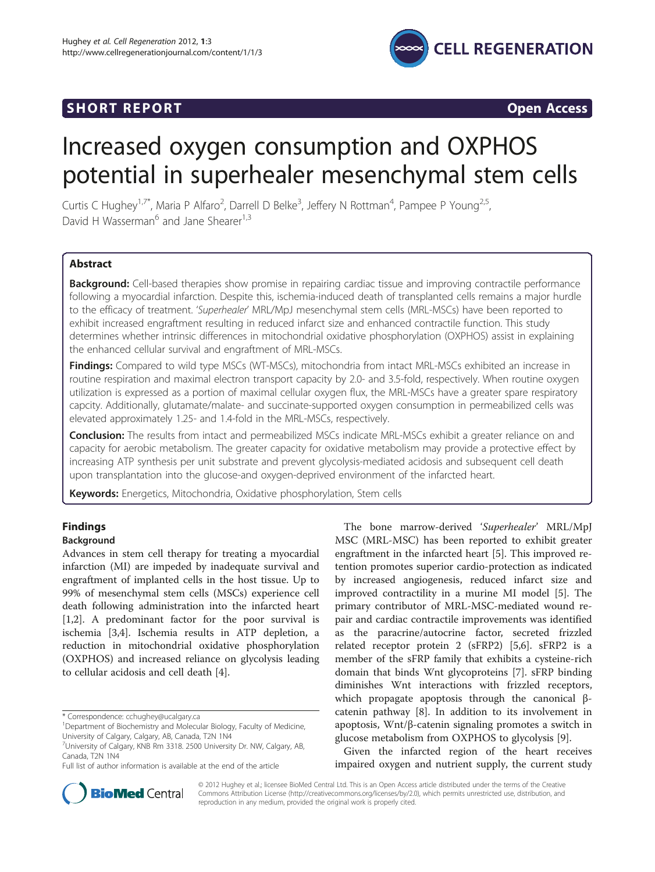# **CELL REGENERATION**

## **SHORT REPORT SHORT CONSIDERING ACCESS**

# Increased oxygen consumption and OXPHOS potential in superhealer mesenchymal stem cells

Curtis C Hughey<sup>1,7\*</sup>, Maria P Alfaro<sup>2</sup>, Darrell D Belke<sup>3</sup>, Jeffery N Rottman<sup>4</sup>, Pampee P Young<sup>2,5</sup>, David H Wasserman<sup>6</sup> and Jane Shearer<sup>1,3</sup>

#### Abstract

Background: Cell-based therapies show promise in repairing cardiac tissue and improving contractile performance following a myocardial infarction. Despite this, ischemia-induced death of transplanted cells remains a major hurdle to the efficacy of treatment. 'Superhealer' MRL/MpJ mesenchymal stem cells (MRL-MSCs) have been reported to exhibit increased engraftment resulting in reduced infarct size and enhanced contractile function. This study determines whether intrinsic differences in mitochondrial oxidative phosphorylation (OXPHOS) assist in explaining the enhanced cellular survival and engraftment of MRL-MSCs.

Findings: Compared to wild type MSCs (WT-MSCs), mitochondria from intact MRL-MSCs exhibited an increase in routine respiration and maximal electron transport capacity by 2.0- and 3.5-fold, respectively. When routine oxygen utilization is expressed as a portion of maximal cellular oxygen flux, the MRL-MSCs have a greater spare respiratory capcity. Additionally, glutamate/malate- and succinate-supported oxygen consumption in permeabilized cells was elevated approximately 1.25- and 1.4-fold in the MRL-MSCs, respectively.

**Conclusion:** The results from intact and permeabilized MSCs indicate MRL-MSCs exhibit a greater reliance on and capacity for aerobic metabolism. The greater capacity for oxidative metabolism may provide a protective effect by increasing ATP synthesis per unit substrate and prevent glycolysis-mediated acidosis and subsequent cell death upon transplantation into the glucose-and oxygen-deprived environment of the infarcted heart.

Keywords: Energetics, Mitochondria, Oxidative phosphorylation, Stem cells

### Findings

#### Background

Advances in stem cell therapy for treating a myocardial infarction (MI) are impeded by inadequate survival and engraftment of implanted cells in the host tissue. Up to 99% of mesenchymal stem cells (MSCs) experience cell death following administration into the infarcted heart [[1,2\]](#page-6-0). A predominant factor for the poor survival is ischemia [[3,4\]](#page-7-0). Ischemia results in ATP depletion, a reduction in mitochondrial oxidative phosphorylation (OXPHOS) and increased reliance on glycolysis leading to cellular acidosis and cell death [[4\]](#page-7-0).

The bone marrow-derived 'Superhealer' MRL/MpJ MSC (MRL-MSC) has been reported to exhibit greater engraftment in the infarcted heart [[5\]](#page-7-0). This improved retention promotes superior cardio-protection as indicated by increased angiogenesis, reduced infarct size and improved contractility in a murine MI model [[5\]](#page-7-0). The primary contributor of MRL-MSC-mediated wound repair and cardiac contractile improvements was identified as the paracrine/autocrine factor, secreted frizzled related receptor protein 2 (sFRP2) [[5,6\]](#page-7-0). sFRP2 is a member of the sFRP family that exhibits a cysteine-rich domain that binds Wnt glycoproteins [\[7](#page-7-0)]. sFRP binding diminishes Wnt interactions with frizzled receptors, which propagate apoptosis through the canonical βcatenin pathway [\[8\]](#page-7-0). In addition to its involvement in apoptosis, Wnt/β-catenin signaling promotes a switch in glucose metabolism from OXPHOS to glycolysis [[9\]](#page-7-0).

Given the infarcted region of the heart receives impaired oxygen and nutrient supply, the current study



© 2012 Hughey et al.; licensee BioMed Central Ltd. This is an Open Access article distributed under the terms of the Creative Commons Attribution License [\(http://creativecommons.org/licenses/by/2.0\)](http://creativecommons.org/licenses/by/2.0), which permits unrestricted use, distribution, and reproduction in any medium, provided the original work is properly cited.

<sup>\*</sup> Correspondence: [cchughey@ucalgary.ca](mailto:cchughey@ucalgary.ca) <sup>1</sup>

<sup>&</sup>lt;sup>1</sup>Department of Biochemistry and Molecular Biology, Faculty of Medicine, University of Calgary, Calgary, AB, Canada, T2N 1N4

<sup>&</sup>lt;sup>7</sup>University of Calgary, KNB Rm 3318. 2500 University Dr. NW, Calgary, AB, Canada, T2N 1N4

Full list of author information is available at the end of the article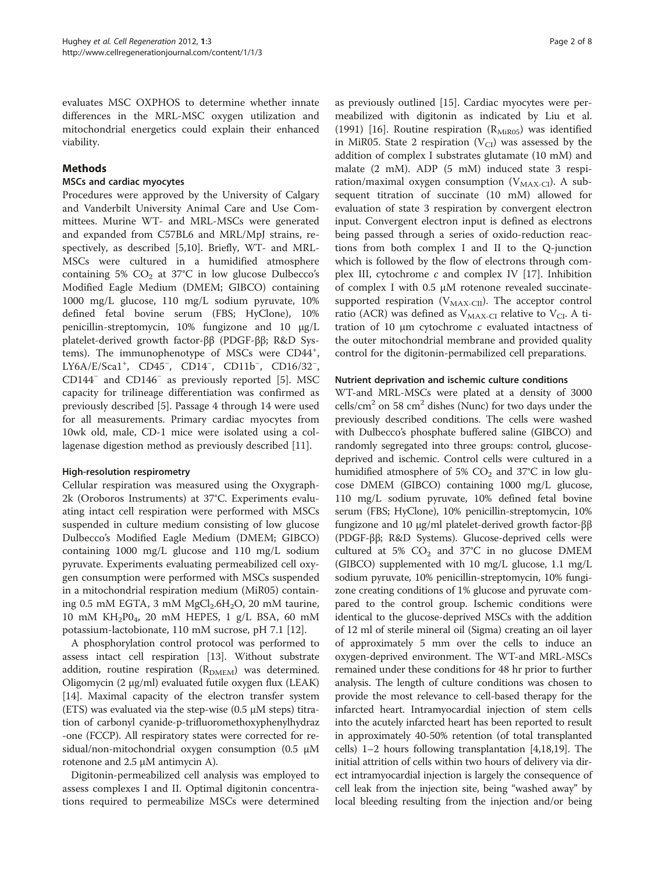evaluates MSC OXPHOS to determine whether innate differences in the MRL-MSC oxygen utilization and mitochondrial energetics could explain their enhanced viability.

#### Methods

#### MSCs and cardiac myocytes

Procedures were approved by the University of Calgary and Vanderbilt University Animal Care and Use Committees. Murine WT- and MRL-MSCs were generated and expanded from C57BL6 and MRL/MpJ strains, respectively, as described [\[5](#page-7-0),[10](#page-7-0)]. Briefly, WT- and MRL-MSCs were cultured in a humidified atmosphere containing 5%  $CO<sub>2</sub>$  at 37°C in low glucose Dulbecco's Modified Eagle Medium (DMEM; GIBCO) containing 1000 mg/L glucose, 110 mg/L sodium pyruvate, 10% defined fetal bovine serum (FBS; HyClone), 10% penicillin-streptomycin, 10% fungizone and 10 μg/L platelet-derived growth factor-ββ (PDGF-ββ; R&D Systems). The immunophenotype of MSCs were CD44<sup>+</sup>, LY6A/E/Sca1<sup>+</sup>, CD45<sup>-</sup>, CD14<sup>-</sup>, CD11b<sup>-</sup>, CD16/32<sup>-</sup>, CD144<sup>−</sup> and CD146<sup>−</sup> as previously reported [[5\]](#page-7-0). MSC capacity for trilineage differentiation was confirmed as previously described [\[5](#page-7-0)]. Passage 4 through 14 were used for all measurements. Primary cardiac myocytes from 10wk old, male, CD-1 mice were isolated using a collagenase digestion method as previously described [[11](#page-7-0)].

#### High-resolution respirometry

Cellular respiration was measured using the Oxygraph-2k (Oroboros Instruments) at 37°C. Experiments evaluating intact cell respiration were performed with MSCs suspended in culture medium consisting of low glucose Dulbecco's Modified Eagle Medium (DMEM; GIBCO) containing 1000 mg/L glucose and 110 mg/L sodium pyruvate. Experiments evaluating permeabilized cell oxygen consumption were performed with MSCs suspended in a mitochondrial respiration medium (MiR05) containing 0.5 mM EGTA, 3 mM  $MgCl<sub>2</sub>.6H<sub>2</sub>O$ , 20 mM taurine, 10 mM  $KH_2P0_4$ , 20 mM HEPES, 1 g/L BSA, 60 mM potassium-lactobionate, 110 mM sucrose, pH 7.1 [\[12\]](#page-7-0).

A phosphorylation control protocol was performed to assess intact cell respiration [\[13\]](#page-7-0). Without substrate addition, routine respiration  $(R_{DMEM})$  was determined. Oligomycin (2 μg/ml) evaluated futile oxygen flux (LEAK) [[14](#page-7-0)]. Maximal capacity of the electron transfer system (ETS) was evaluated via the step-wise (0.5  $\mu$ M steps) titration of carbonyl cyanide-p-trifluoromethoxyphenylhydraz -one (FCCP). All respiratory states were corrected for residual/non-mitochondrial oxygen consumption (0.5 μM rotenone and 2.5 μM antimycin A).

Digitonin-permeabilized cell analysis was employed to assess complexes I and II. Optimal digitonin concentrations required to permeabilize MSCs were determined

as previously outlined [\[15\]](#page-7-0). Cardiac myocytes were permeabilized with digitonin as indicated by Liu et al. (1991) [\[16](#page-7-0)]. Routine respiration ( $R_{\text{MiRO5}}$ ) was identified in MiR05. State 2 respiration ( $V<sub>CI</sub>$ ) was assessed by the addition of complex I substrates glutamate (10 mM) and malate (2 mM). ADP (5 mM) induced state 3 respiration/maximal oxygen consumption  $(V_{MAX-CI})$ . A subsequent titration of succinate (10 mM) allowed for evaluation of state 3 respiration by convergent electron input. Convergent electron input is defined as electrons being passed through a series of oxido-reduction reactions from both complex I and II to the Q-junction which is followed by the flow of electrons through complex III, cytochrome  $c$  and complex IV [[17](#page-7-0)]. Inhibition of complex I with 0.5 μM rotenone revealed succinatesupported respiration ( $V_{MAX-CII}$ ). The acceptor control ratio (ACR) was defined as  $V_{MAX-CI}$  relative to  $V_{CI}$ . A titration of 10 μm cytochrome  $c$  evaluated intactness of the outer mitochondrial membrane and provided quality control for the digitonin-permabilized cell preparations.

#### Nutrient deprivation and ischemic culture conditions

WT-and MRL-MSCs were plated at a density of 3000 cells/cm<sup>2</sup> on 58 cm<sup>2</sup> dishes (Nunc) for two days under the previously described conditions. The cells were washed with Dulbecco's phosphate buffered saline (GIBCO) and randomly segregated into three groups: control, glucosedeprived and ischemic. Control cells were cultured in a humidified atmosphere of 5%  $CO<sub>2</sub>$  and 37°C in low glucose DMEM (GIBCO) containing 1000 mg/L glucose, 110 mg/L sodium pyruvate, 10% defined fetal bovine serum (FBS; HyClone), 10% penicillin-streptomycin, 10% fungizone and 10 μg/ml platelet-derived growth factor-ββ (PDGF-ββ; R&D Systems). Glucose-deprived cells were cultured at 5%  $CO<sub>2</sub>$  and 37°C in no glucose DMEM (GIBCO) supplemented with 10 mg/L glucose, 1.1 mg/L sodium pyruvate, 10% penicillin-streptomycin, 10% fungizone creating conditions of 1% glucose and pyruvate compared to the control group. Ischemic conditions were identical to the glucose-deprived MSCs with the addition of 12 ml of sterile mineral oil (Sigma) creating an oil layer of approximately 5 mm over the cells to induce an oxygen-deprived environment. The WT-and MRL-MSCs remained under these conditions for 48 hr prior to further analysis. The length of culture conditions was chosen to provide the most relevance to cell-based therapy for the infarcted heart. Intramyocardial injection of stem cells into the acutely infarcted heart has been reported to result in approximately 40-50% retention (of total transplanted cells) 1–2 hours following transplantation [\[4,18,19](#page-7-0)]. The initial attrition of cells within two hours of delivery via direct intramyocardial injection is largely the consequence of cell leak from the injection site, being "washed away" by local bleeding resulting from the injection and/or being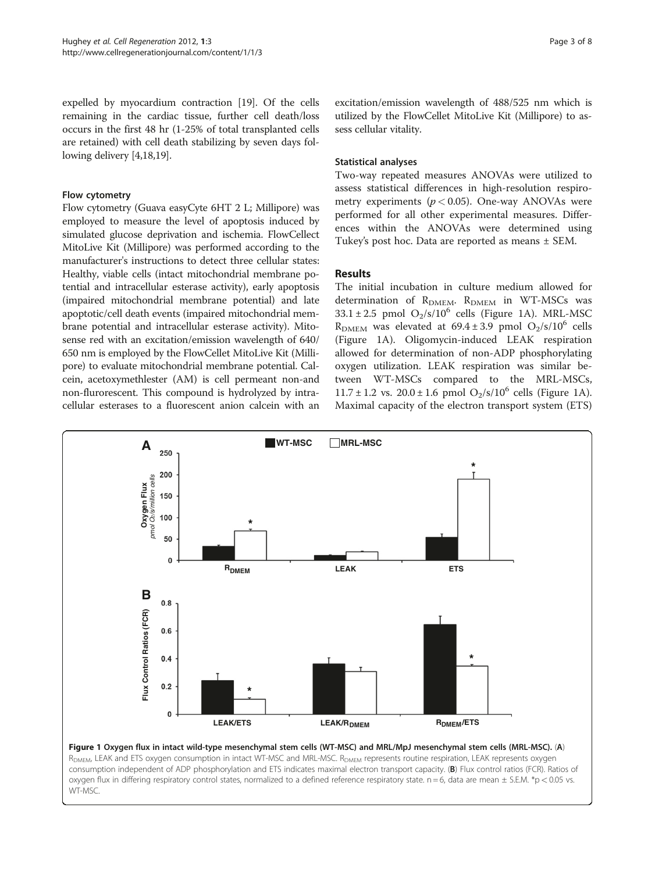<span id="page-2-0"></span>expelled by myocardium contraction [\[19](#page-7-0)]. Of the cells remaining in the cardiac tissue, further cell death/loss occurs in the first 48 hr (1-25% of total transplanted cells are retained) with cell death stabilizing by seven days following delivery [[4,18,19\]](#page-7-0).

#### Flow cytometry

Flow cytometry (Guava easyCyte 6HT 2 L; Millipore) was employed to measure the level of apoptosis induced by simulated glucose deprivation and ischemia. FlowCellect MitoLive Kit (Millipore) was performed according to the manufacturer's instructions to detect three cellular states: Healthy, viable cells (intact mitochondrial membrane potential and intracellular esterase activity), early apoptosis (impaired mitochondrial membrane potential) and late apoptotic/cell death events (impaired mitochondrial membrane potential and intracellular esterase activity). Mitosense red with an excitation/emission wavelength of 640/ 650 nm is employed by the FlowCellet MitoLive Kit (Millipore) to evaluate mitochondrial membrane potential. Calcein, acetoxymethlester (AM) is cell permeant non-and non-flurorescent. This compound is hydrolyzed by intracellular esterases to a fluorescent anion calcein with an

excitation/emission wavelength of 488/525 nm which is utilized by the FlowCellet MitoLive Kit (Millipore) to assess cellular vitality.

#### Statistical analyses

Two-way repeated measures ANOVAs were utilized to assess statistical differences in high-resolution respirometry experiments ( $p < 0.05$ ). One-way ANOVAs were performed for all other experimental measures. Differences within the ANOVAs were determined using Tukey's post hoc. Data are reported as means ± SEM.

#### Results

The initial incubation in culture medium allowed for determination of  $R_{DMEM}$ .  $R_{DMEM}$  in WT-MSCs was  $33.1 \pm 2.5$  pmol O<sub>2</sub>/s/10<sup>6</sup> cells (Figure 1A). MRL-MSC  $R_{\text{DMEM}}$  was elevated at 69.4 ± 3.9 pmol O<sub>2</sub>/s/10<sup>6</sup> cells (Figure 1A). Oligomycin-induced LEAK respiration allowed for determination of non-ADP phosphorylating oxygen utilization. LEAK respiration was similar between WT-MSCs compared to the MRL-MSCs,  $11.7 \pm 1.2$  vs.  $20.0 \pm 1.6$  pmol  $O_2/s/10^6$  cells (Figure 1A). Maximal capacity of the electron transport system (ETS)



R<sub>DMEM</sub>, LEAK and ETS oxygen consumption in intact WT-MSC and MRL-MSC. R<sub>DMEM</sub> represents routine respiration, LEAK represents oxygen consumption independent of ADP phosphorylation and ETS indicates maximal electron transport capacity. (B) Flux control ratios (FCR). Ratios of oxygen flux in differing respiratory control states, normalized to a defined reference respiratory state.  $n = 6$ , data are mean  $\pm$  S.E.M. \*p < 0.05 vs. WT-MSC.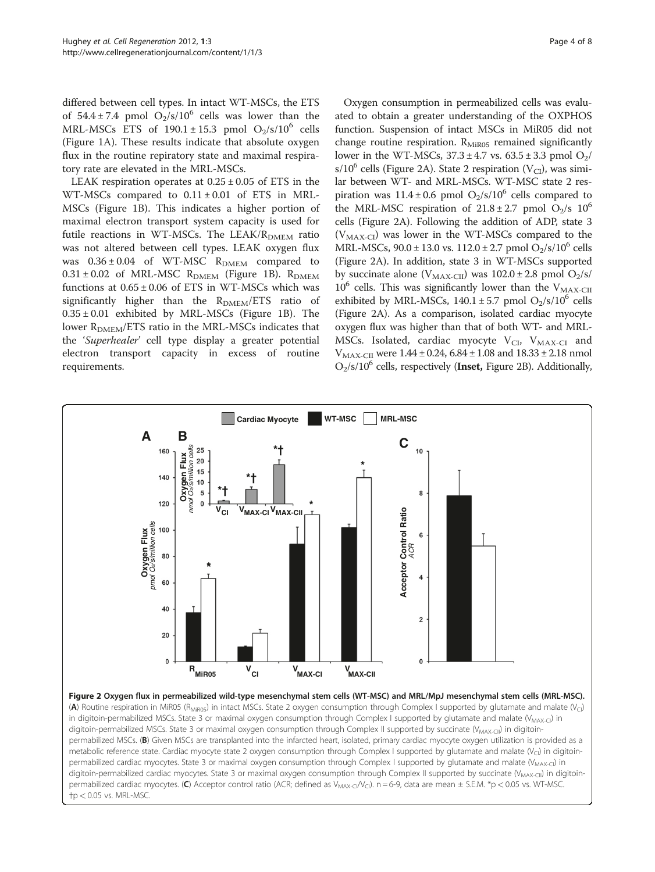<span id="page-3-0"></span>differed between cell types. In intact WT-MSCs, the ETS of  $54.4 \pm 7.4$  pmol  $O_2/s/10^6$  cells was lower than the MRL-MSCs ETS of  $190.1 \pm 15.3$  pmol  $O_2/s/10^6$  cells (Figure [1A](#page-2-0)). These results indicate that absolute oxygen flux in the routine repiratory state and maximal respiratory rate are elevated in the MRL-MSCs.

LEAK respiration operates at  $0.25 \pm 0.05$  of ETS in the WT-MSCs compared to  $0.11 \pm 0.01$  of ETS in MRL-MSCs (Figure [1B](#page-2-0)). This indicates a higher portion of maximal electron transport system capacity is used for futile reactions in WT-MSCs. The LEAK/ $R_{\text{DMEM}}$  ratio was not altered between cell types. LEAK oxygen flux was  $0.36 \pm 0.04$  of WT-MSC R<sub>DMEM</sub> compared to  $0.31 \pm 0.02$  of MRL-MSC R<sub>DMEM</sub> (Figure [1B](#page-2-0)). R<sub>DMEM</sub> functions at  $0.65 \pm 0.06$  of ETS in WT-MSCs which was significantly higher than the  $R_{\text{DMEM}}/ETS$  ratio of  $0.35 \pm 0.01$  exhibited by MRL-MSCs (Figure [1B](#page-2-0)). The lower  $R_{DMEM}/ETS$  ratio in the MRL-MSCs indicates that the 'Superhealer' cell type display a greater potential electron transport capacity in excess of routine requirements.

Oxygen consumption in permeabilized cells was evaluated to obtain a greater understanding of the OXPHOS function. Suspension of intact MSCs in MiR05 did not change routine respiration.  $R_{MiR05}$  remained significantly lower in the WT-MSCs,  $37.3 \pm 4.7$  vs.  $63.5 \pm 3.3$  pmol  $O_2$ / s/10<sup>6</sup> cells (Figure 2A). State 2 respiration (V<sub>CI</sub>), was similar between WT- and MRL-MSCs. WT-MSC state 2 respiration was  $11.4 \pm 0.6$  pmol  $O_2/s/10^6$  cells compared to the MRL-MSC respiration of  $21.8 \pm 2.7$  pmol O<sub>2</sub>/s 10<sup>6</sup> cells (Figure 2A). Following the addition of ADP, state 3  $(V_{MAX-CI})$  was lower in the WT-MSCs compared to the MRL-MSCs,  $90.0 \pm 13.0$  vs.  $112.0 \pm 2.7$  pmol  $O_2/s/10^6$  cells (Figure 2A). In addition, state 3 in WT-MSCs supported by succinate alone ( $V_{MAX-CII}$ ) was  $102.0 \pm 2.8$  pmol  $O_2/s$ /  $10^6$  cells. This was significantly lower than the  $V_{MAX-CH}$ exhibited by MRL-MSCs,  $140.1 \pm 5.7$  pmol  $O_2/s/10^6$  cells (Figure 2A). As a comparison, isolated cardiac myocyte oxygen flux was higher than that of both WT- and MRL-MSCs. Isolated, cardiac myocyte  $V_{\text{CI}}$ ,  $V_{\text{MAX-CI}}$  and  $V_{MAX\text{-CH}}$  were 1.44  $\pm$  0.24, 6.84  $\pm$  1.08 and 18.33  $\pm$  2.18 nmol  $O_2$ /s/10<sup>6</sup> cells, respectively (Inset, Figure 2B). Additionally,



permabilized cardiac myocytes. State 3 or maximal oxygen consumption through Complex I supported by glutamate and malate (V<sub>MAX-CI</sub>) in digitoin-permabilized cardiac myocytes. State 3 or maximal oxygen consumption through Complex II supported by succinate (V<sub>MAX-CII</sub>) in digitoinpermabilized cardiac myocytes. (C) Acceptor control ratio (ACR; defined as  $V_{MAX-C}/V_C$ ). n = 6-9, data are mean  $\pm$  S.E.M. \*p < 0.05 vs. WT-MSC.  $+p < 0.05$  vs. MRL-MSC.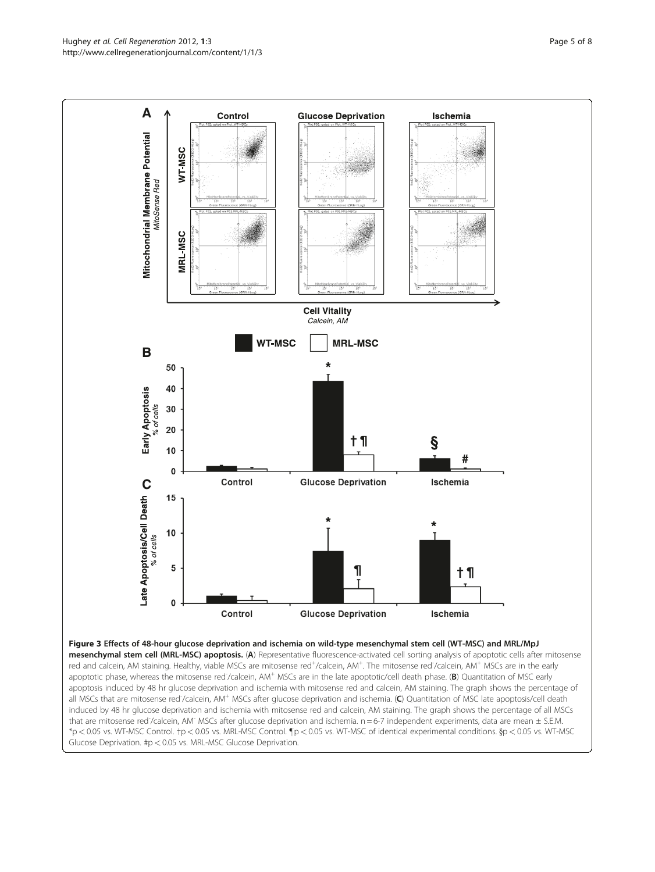<span id="page-4-0"></span>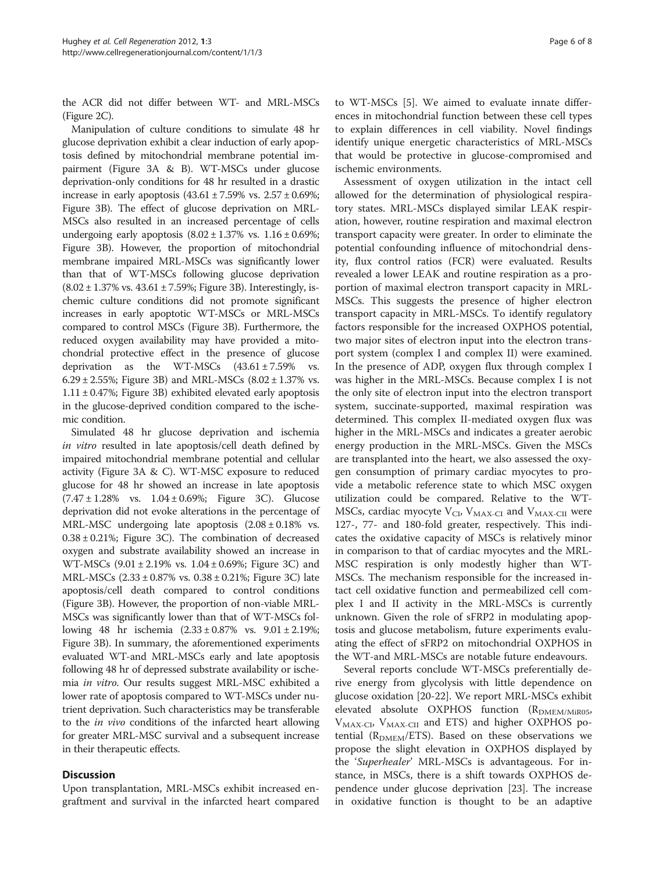the ACR did not differ between WT- and MRL-MSCs (Figure [2C](#page-3-0)).

Manipulation of culture conditions to simulate 48 hr glucose deprivation exhibit a clear induction of early apoptosis defined by mitochondrial membrane potential impairment (Figure [3A](#page-4-0) & B). WT-MSCs under glucose deprivation-only conditions for 48 hr resulted in a drastic increase in early apoptosis  $(43.61 \pm 7.59\% \text{ vs. } 2.57 \pm 0.69\%;$ Figure [3B](#page-4-0)). The effect of glucose deprivation on MRL-MSCs also resulted in an increased percentage of cells undergoing early apoptosis  $(8.02 \pm 1.37\% \text{ vs. } 1.16 \pm 0.69\%;$ Figure [3B](#page-4-0)). However, the proportion of mitochondrial membrane impaired MRL-MSCs was significantly lower than that of WT-MSCs following glucose deprivation  $(8.02 \pm 1.37\% \text{ vs. } 43.61 \pm 7.59\%; \text{ Figure 3B}).$  $(8.02 \pm 1.37\% \text{ vs. } 43.61 \pm 7.59\%; \text{ Figure 3B}).$  $(8.02 \pm 1.37\% \text{ vs. } 43.61 \pm 7.59\%; \text{ Figure 3B}).$  Interestingly, ischemic culture conditions did not promote significant increases in early apoptotic WT-MSCs or MRL-MSCs compared to control MSCs (Figure [3B](#page-4-0)). Furthermore, the reduced oxygen availability may have provided a mitochondrial protective effect in the presence of glucose deprivation as the WT-MSCs  $(43.61 \pm 7.59\%$  vs. 6.29 ± 2.55%; Figure [3B\)](#page-4-0) and MRL-MSCs  $(8.02 \pm 1.37\% \text{ vs.}$  $1.11 \pm 0.47$ %; Figure [3B](#page-4-0)) exhibited elevated early apoptosis in the glucose-deprived condition compared to the ischemic condition.

Simulated 48 hr glucose deprivation and ischemia in vitro resulted in late apoptosis/cell death defined by impaired mitochondrial membrane potential and cellular activity (Figure [3A](#page-4-0) & C). WT-MSC exposure to reduced glucose for 48 hr showed an increase in late apoptosis  $(7.47 \pm 1.28\%$  vs.  $1.04 \pm 0.69\%$ ; Figure [3C\)](#page-4-0). Glucose deprivation did not evoke alterations in the percentage of MRL-MSC undergoing late apoptosis  $(2.08 \pm 0.18\%$  vs.  $0.38 \pm 0.21$ %; Figure [3C](#page-4-0)). The combination of decreased oxygen and substrate availability showed an increase in WT-MSCs  $(9.01 \pm 2.19\% \text{ vs. } 1.04 \pm 0.69\%; \text{ Figure 3C})$  and MRL-MSCs (2.33 ± 0.87% vs. 0.38 ± 0.21%; Figure [3C](#page-4-0)) late apoptosis/cell death compared to control conditions (Figure [3B\)](#page-4-0). However, the proportion of non-viable MRL-MSCs was significantly lower than that of WT-MSCs following 48 hr ischemia (2.33 ± 0.87% vs. 9.01 ± 2.19%; Figure [3B\)](#page-4-0). In summary, the aforementioned experiments evaluated WT-and MRL-MSCs early and late apoptosis following 48 hr of depressed substrate availability or ischemia in vitro. Our results suggest MRL-MSC exhibited a lower rate of apoptosis compared to WT-MSCs under nutrient deprivation. Such characteristics may be transferable to the in vivo conditions of the infarcted heart allowing for greater MRL-MSC survival and a subsequent increase in their therapeutic effects.

#### **Discussion**

Upon transplantation, MRL-MSCs exhibit increased engraftment and survival in the infarcted heart compared

to WT-MSCs [[5](#page-7-0)]. We aimed to evaluate innate differences in mitochondrial function between these cell types to explain differences in cell viability. Novel findings identify unique energetic characteristics of MRL-MSCs that would be protective in glucose-compromised and ischemic environments.

Assessment of oxygen utilization in the intact cell allowed for the determination of physiological respiratory states. MRL-MSCs displayed similar LEAK respiration, however, routine respiration and maximal electron transport capacity were greater. In order to eliminate the potential confounding influence of mitochondrial density, flux control ratios (FCR) were evaluated. Results revealed a lower LEAK and routine respiration as a proportion of maximal electron transport capacity in MRL-MSCs. This suggests the presence of higher electron transport capacity in MRL-MSCs. To identify regulatory factors responsible for the increased OXPHOS potential, two major sites of electron input into the electron transport system (complex I and complex II) were examined. In the presence of ADP, oxygen flux through complex I was higher in the MRL-MSCs. Because complex I is not the only site of electron input into the electron transport system, succinate-supported, maximal respiration was determined. This complex II-mediated oxygen flux was higher in the MRL-MSCs and indicates a greater aerobic energy production in the MRL-MSCs. Given the MSCs are transplanted into the heart, we also assessed the oxygen consumption of primary cardiac myocytes to provide a metabolic reference state to which MSC oxygen utilization could be compared. Relative to the WT-MSCs, cardiac myocyte  $V_{\text{CI}}$ ,  $V_{\text{MAX-CI}}$  and  $V_{\text{MAX-CI}}$  were 127-, 77- and 180-fold greater, respectively. This indicates the oxidative capacity of MSCs is relatively minor in comparison to that of cardiac myocytes and the MRL-MSC respiration is only modestly higher than WT-MSCs. The mechanism responsible for the increased intact cell oxidative function and permeabilized cell complex I and II activity in the MRL-MSCs is currently unknown. Given the role of sFRP2 in modulating apoptosis and glucose metabolism, future experiments evaluating the effect of sFRP2 on mitochondrial OXPHOS in the WT-and MRL-MSCs are notable future endeavours.

Several reports conclude WT-MSCs preferentially derive energy from glycolysis with little dependence on glucose oxidation [\[20](#page-7-0)-[22](#page-7-0)]. We report MRL-MSCs exhibit elevated absolute OXPHOS function  $(R_{DMEM/MiR05},$  $V_{MAX-CI}$ ,  $V_{MAX-CII}$  and ETS) and higher OXPHOS potential ( $R_{DMEM}/ETS$ ). Based on these observations we propose the slight elevation in OXPHOS displayed by the 'Superhealer' MRL-MSCs is advantageous. For instance, in MSCs, there is a shift towards OXPHOS dependence under glucose deprivation [\[23](#page-7-0)]. The increase in oxidative function is thought to be an adaptive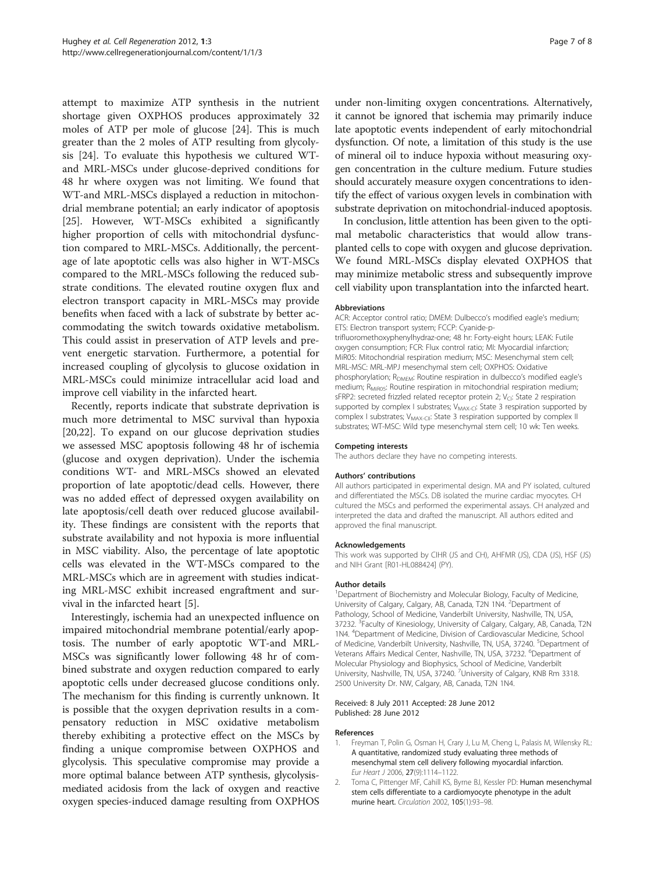<span id="page-6-0"></span>attempt to maximize ATP synthesis in the nutrient shortage given OXPHOS produces approximately 32 moles of ATP per mole of glucose [\[24\]](#page-7-0). This is much greater than the 2 moles of ATP resulting from glycolysis [[24\]](#page-7-0). To evaluate this hypothesis we cultured WTand MRL-MSCs under glucose-deprived conditions for 48 hr where oxygen was not limiting. We found that WT-and MRL-MSCs displayed a reduction in mitochondrial membrane potential; an early indicator of apoptosis [[25\]](#page-7-0). However, WT-MSCs exhibited a significantly higher proportion of cells with mitochondrial dysfunction compared to MRL-MSCs. Additionally, the percentage of late apoptotic cells was also higher in WT-MSCs compared to the MRL-MSCs following the reduced substrate conditions. The elevated routine oxygen flux and electron transport capacity in MRL-MSCs may provide benefits when faced with a lack of substrate by better accommodating the switch towards oxidative metabolism. This could assist in preservation of ATP levels and prevent energetic starvation. Furthermore, a potential for increased coupling of glycolysis to glucose oxidation in MRL-MSCs could minimize intracellular acid load and improve cell viability in the infarcted heart.

Recently, reports indicate that substrate deprivation is much more detrimental to MSC survival than hypoxia [[20,22\]](#page-7-0). To expand on our glucose deprivation studies we assessed MSC apoptosis following 48 hr of ischemia (glucose and oxygen deprivation). Under the ischemia conditions WT- and MRL-MSCs showed an elevated proportion of late apoptotic/dead cells. However, there was no added effect of depressed oxygen availability on late apoptosis/cell death over reduced glucose availability. These findings are consistent with the reports that substrate availability and not hypoxia is more influential in MSC viability. Also, the percentage of late apoptotic cells was elevated in the WT-MSCs compared to the MRL-MSCs which are in agreement with studies indicating MRL-MSC exhibit increased engraftment and survival in the infarcted heart [[5\]](#page-7-0).

Interestingly, ischemia had an unexpected influence on impaired mitochondrial membrane potential/early apoptosis. The number of early apoptotic WT-and MRL-MSCs was significantly lower following 48 hr of combined substrate and oxygen reduction compared to early apoptotic cells under decreased glucose conditions only. The mechanism for this finding is currently unknown. It is possible that the oxygen deprivation results in a compensatory reduction in MSC oxidative metabolism thereby exhibiting a protective effect on the MSCs by finding a unique compromise between OXPHOS and glycolysis. This speculative compromise may provide a more optimal balance between ATP synthesis, glycolysismediated acidosis from the lack of oxygen and reactive oxygen species-induced damage resulting from OXPHOS

under non-limiting oxygen concentrations. Alternatively, it cannot be ignored that ischemia may primarily induce late apoptotic events independent of early mitochondrial dysfunction. Of note, a limitation of this study is the use of mineral oil to induce hypoxia without measuring oxygen concentration in the culture medium. Future studies should accurately measure oxygen concentrations to identify the effect of various oxygen levels in combination with substrate deprivation on mitochondrial-induced apoptosis.

In conclusion, little attention has been given to the optimal metabolic characteristics that would allow transplanted cells to cope with oxygen and glucose deprivation. We found MRL-MSCs display elevated OXPHOS that may minimize metabolic stress and subsequently improve cell viability upon transplantation into the infarcted heart.

#### Abbreviations

ACR: Acceptor control ratio; DMEM: Dulbecco's modified eagle's medium; ETS: Electron transport system; FCCP: Cyanide-ptrifluoromethoxyphenylhydraz-one; 48 hr: Forty-eight hours; LEAK: Futile oxygen consumption; FCR: Flux control ratio; MI: Myocardial infarction; MiR05: Mitochondrial respiration medium; MSC: Mesenchymal stem cell; MRL-MSC: MRL-MPJ mesenchymal stem cell; OXPHOS: Oxidative phosphorylation; R<sub>DMEM</sub>: Routine respiration in dulbecco's modified eagle's medium; R<sub>MiR05</sub>: Routine respiration in mitochondrial respiration medium; sFRP2: secreted frizzled related receptor protein 2;  $V_{CI}$ : State 2 respiration supported by complex I substrates; V<sub>MAX-CI</sub>: State 3 respiration supported by complex I substrates; V<sub>MAX-CII</sub>: State 3 respiration supported by complex II substrates; WT-MSC: Wild type mesenchymal stem cell; 10 wk: Ten weeks.

#### Competing interests

The authors declare they have no competing interests.

#### Authors' contributions

All authors participated in experimental design. MA and PY isolated, cultured and differentiated the MSCs. DB isolated the murine cardiac myocytes. CH cultured the MSCs and performed the experimental assays. CH analyzed and interpreted the data and drafted the manuscript. All authors edited and approved the final manuscript.

#### Acknowledgements

This work was supported by CIHR (JS and CH), AHFMR (JS), CDA (JS), HSF (JS) and NIH Grant [R01-HL088424] (PY).

#### Author details

<sup>1</sup>Department of Biochemistry and Molecular Biology, Faculty of Medicine University of Calgary, Calgary, AB, Canada, T2N 1N4. <sup>2</sup>Department of Pathology, School of Medicine, Vanderbilt University, Nashville, TN, USA, 37232. <sup>3</sup>Faculty of Kinesiology, University of Calgary, Calgary, AB, Canada, T2N 1N4. <sup>4</sup> Department of Medicine, Division of Cardiovascular Medicine, School of Medicine, Vanderbilt University, Nashville, TN, USA, 37240. <sup>5</sup>Department of Veterans Affairs Medical Center, Nashville, TN, USA, 37232. <sup>6</sup>Department of Molecular Physiology and Biophysics, School of Medicine, Vanderbilt University, Nashville, TN, USA, 37240. <sup>7</sup>University of Calgary, KNB Rm 3318 2500 University Dr. NW, Calgary, AB, Canada, T2N 1N4.

#### Received: 8 July 2011 Accepted: 28 June 2012 Published: 28 June 2012

#### References

- 1. Freyman T, Polin G, Osman H, Crary J, Lu M, Cheng L, Palasis M, Wilensky RL: A quantitative, randomized study evaluating three methods of mesenchymal stem cell delivery following myocardial infarction. Eur Heart J 2006, 27(9):1114–1122.
- 2. Toma C, Pittenger MF, Cahill KS, Byrne BJ, Kessler PD: Human mesenchymal stem cells differentiate to a cardiomyocyte phenotype in the adult murine heart. Circulation 2002, 105(1):93–98.